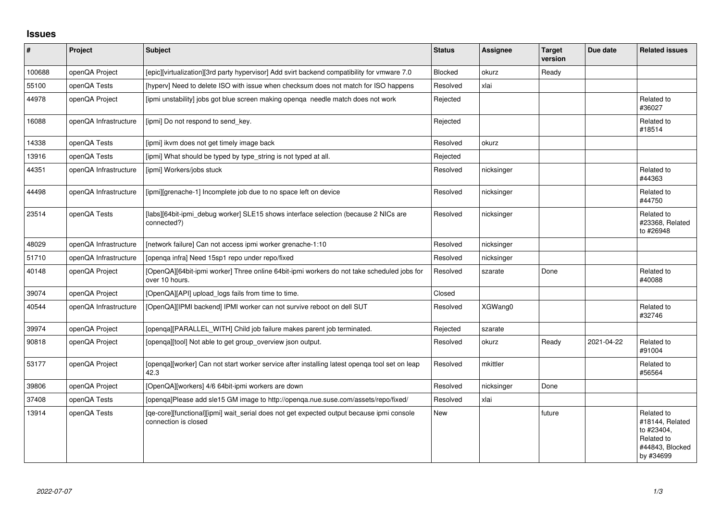## **Issues**

| #      | Project               | <b>Subject</b>                                                                                                    | <b>Status</b>  | <b>Assignee</b> | <b>Target</b><br>version | Due date   | <b>Related issues</b>                                                                     |
|--------|-----------------------|-------------------------------------------------------------------------------------------------------------------|----------------|-----------------|--------------------------|------------|-------------------------------------------------------------------------------------------|
| 100688 | openQA Project        | [epic][virtualization][3rd party hypervisor] Add svirt backend compatibility for vmware 7.0                       | <b>Blocked</b> | okurz           | Ready                    |            |                                                                                           |
| 55100  | openQA Tests          | [hyperv] Need to delete ISO with issue when checksum does not match for ISO happens                               | Resolved       | xlai            |                          |            |                                                                                           |
| 44978  | openQA Project        | [ipmi unstability] jobs got blue screen making openqa needle match does not work                                  | Rejected       |                 |                          |            | Related to<br>#36027                                                                      |
| 16088  | openQA Infrastructure | [ipmi] Do not respond to send key.                                                                                | Rejected       |                 |                          |            | Related to<br>#18514                                                                      |
| 14338  | openQA Tests          | [ipmi] ikvm does not get timely image back                                                                        | Resolved       | okurz           |                          |            |                                                                                           |
| 13916  | openQA Tests          | [ipmi] What should be typed by type_string is not typed at all.                                                   | Rejected       |                 |                          |            |                                                                                           |
| 44351  | openQA Infrastructure | [ipmi] Workers/jobs stuck                                                                                         | Resolved       | nicksinger      |                          |            | Related to<br>#44363                                                                      |
| 44498  | openQA Infrastructure | [ipmi][grenache-1] Incomplete job due to no space left on device                                                  | Resolved       | nicksinger      |                          |            | Related to<br>#44750                                                                      |
| 23514  | openQA Tests          | [labs][64bit-ipmi_debug worker] SLE15 shows interface selection (because 2 NICs are<br>connected?)                | Resolved       | nicksinger      |                          |            | Related to<br>#23368, Related<br>to #26948                                                |
| 48029  | openQA Infrastructure | [network failure] Can not access ipmi worker grenache-1:10                                                        | Resolved       | nicksinger      |                          |            |                                                                                           |
| 51710  | openQA Infrastructure | [openqa infra] Need 15sp1 repo under repo/fixed                                                                   | Resolved       | nicksinger      |                          |            |                                                                                           |
| 40148  | openQA Project        | [OpenQA][64bit-ipmi worker] Three online 64bit-ipmi workers do not take scheduled jobs for<br>over 10 hours.      | Resolved       | szarate         | Done                     |            | Related to<br>#40088                                                                      |
| 39074  | openQA Project        | [OpenQA][API] upload_logs fails from time to time.                                                                | Closed         |                 |                          |            |                                                                                           |
| 40544  | openQA Infrastructure | [OpenQA][IPMI backend] IPMI worker can not survive reboot on dell SUT                                             | Resolved       | XGWang0         |                          |            | Related to<br>#32746                                                                      |
| 39974  | openQA Project        | [openqa][PARALLEL_WITH] Child job failure makes parent job terminated.                                            | Rejected       | szarate         |                          |            |                                                                                           |
| 90818  | openQA Project        | [openga][tool] Not able to get group_overview json output.                                                        | Resolved       | okurz           | Ready                    | 2021-04-22 | Related to<br>#91004                                                                      |
| 53177  | openQA Project        | [openqa][worker] Can not start worker service after installing latest openqa tool set on leap<br>42.3             | Resolved       | mkittler        |                          |            | Related to<br>#56564                                                                      |
| 39806  | openQA Project        | [OpenQA][workers] 4/6 64bit-ipmi workers are down                                                                 | Resolved       | nicksinger      | Done                     |            |                                                                                           |
| 37408  | openQA Tests          | [openqa]Please add sle15 GM image to http://openqa.nue.suse.com/assets/repo/fixed/                                | Resolved       | xlai            |                          |            |                                                                                           |
| 13914  | openQA Tests          | [qe-core][functional][ipmi] wait_serial does not get expected output because ipmi console<br>connection is closed | New            |                 | future                   |            | Related to<br>#18144, Related<br>to #23404,<br>Related to<br>#44843, Blocked<br>by #34699 |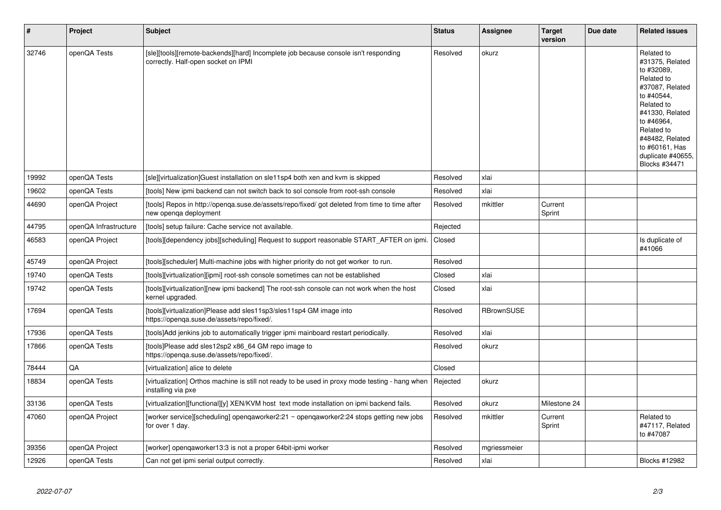| $\vert$ # | Project               | <b>Subject</b>                                                                                                             | <b>Status</b> | Assignee          | <b>Target</b><br>version | Due date | <b>Related issues</b>                                                                                                                                                                                                              |
|-----------|-----------------------|----------------------------------------------------------------------------------------------------------------------------|---------------|-------------------|--------------------------|----------|------------------------------------------------------------------------------------------------------------------------------------------------------------------------------------------------------------------------------------|
| 32746     | openQA Tests          | [sle][tools][remote-backends][hard] Incomplete job because console isn't responding<br>correctly. Half-open socket on IPMI | Resolved      | okurz             |                          |          | Related to<br>#31375, Related<br>to #32089,<br>Related to<br>#37087, Related<br>to #40544,<br>Related to<br>#41330, Related<br>to #46964,<br>Related to<br>#48482, Related<br>to #60161, Has<br>duplicate #40655,<br>Blocks #34471 |
| 19992     | openQA Tests          | [sle][virtualization]Guest installation on sle11sp4 both xen and kvm is skipped                                            | Resolved      | xlai              |                          |          |                                                                                                                                                                                                                                    |
| 19602     | openQA Tests          | [tools] New ipmi backend can not switch back to sol console from root-ssh console                                          | Resolved      | xlai              |                          |          |                                                                                                                                                                                                                                    |
| 44690     | openQA Project        | [tools] Repos in http://openqa.suse.de/assets/repo/fixed/ got deleted from time to time after<br>new openqa deployment     | Resolved      | mkittler          | Current<br>Sprint        |          |                                                                                                                                                                                                                                    |
| 44795     | openQA Infrastructure | [tools] setup failure: Cache service not available.                                                                        | Rejected      |                   |                          |          |                                                                                                                                                                                                                                    |
| 46583     | openQA Project        | [tools][dependency jobs][scheduling] Request to support reasonable START_AFTER on ipmi.                                    | Closed        |                   |                          |          | Is duplicate of<br>#41066                                                                                                                                                                                                          |
| 45749     | openQA Project        | [tools][scheduler] Multi-machine jobs with higher priority do not get worker to run.                                       | Resolved      |                   |                          |          |                                                                                                                                                                                                                                    |
| 19740     | openQA Tests          | [tools][virtualization][ipmi] root-ssh console sometimes can not be established                                            | Closed        | xlai              |                          |          |                                                                                                                                                                                                                                    |
| 19742     | openQA Tests          | [tools][virtualization][new ipmi backend] The root-ssh console can not work when the host<br>kernel upgraded.              | Closed        | xlai              |                          |          |                                                                                                                                                                                                                                    |
| 17694     | openQA Tests          | [tools][virtualization]Please add sles11sp3/sles11sp4 GM image into<br>https://openqa.suse.de/assets/repo/fixed/.          | Resolved      | <b>RBrownSUSE</b> |                          |          |                                                                                                                                                                                                                                    |
| 17936     | openQA Tests          | [tools]Add jenkins job to automatically trigger ipmi mainboard restart periodically.                                       | Resolved      | xlai              |                          |          |                                                                                                                                                                                                                                    |
| 17866     | openQA Tests          | [tools]Please add sles12sp2 x86_64 GM repo image to<br>https://openga.suse.de/assets/repo/fixed/.                          | Resolved      | okurz             |                          |          |                                                                                                                                                                                                                                    |
| 78444     | QA                    | [virtualization] alice to delete                                                                                           | Closed        |                   |                          |          |                                                                                                                                                                                                                                    |
| 18834     | openQA Tests          | [virtualization] Orthos machine is still not ready to be used in proxy mode testing - hang when<br>installing via pxe      | Rejected      | okurz             |                          |          |                                                                                                                                                                                                                                    |
| 33136     | openQA Tests          | [virtualization][functional][y] XEN/KVM host text mode installation on ipmi backend fails.                                 | Resolved      | okurz             | Milestone 24             |          |                                                                                                                                                                                                                                    |
| 47060     | openQA Project        | [worker service][scheduling] openqaworker2:21 ~ openqaworker2:24 stops getting new jobs<br>for over 1 day.                 | Resolved      | mkittler          | Current<br>Sprint        |          | Related to<br>#47117, Related<br>to #47087                                                                                                                                                                                         |
| 39356     | openQA Project        | [worker] opengaworker13:3 is not a proper 64bit-ipmi worker                                                                | Resolved      | mgriessmeier      |                          |          |                                                                                                                                                                                                                                    |
| 12926     | openQA Tests          | Can not get ipmi serial output correctly.                                                                                  | Resolved      | xlai              |                          |          | Blocks #12982                                                                                                                                                                                                                      |